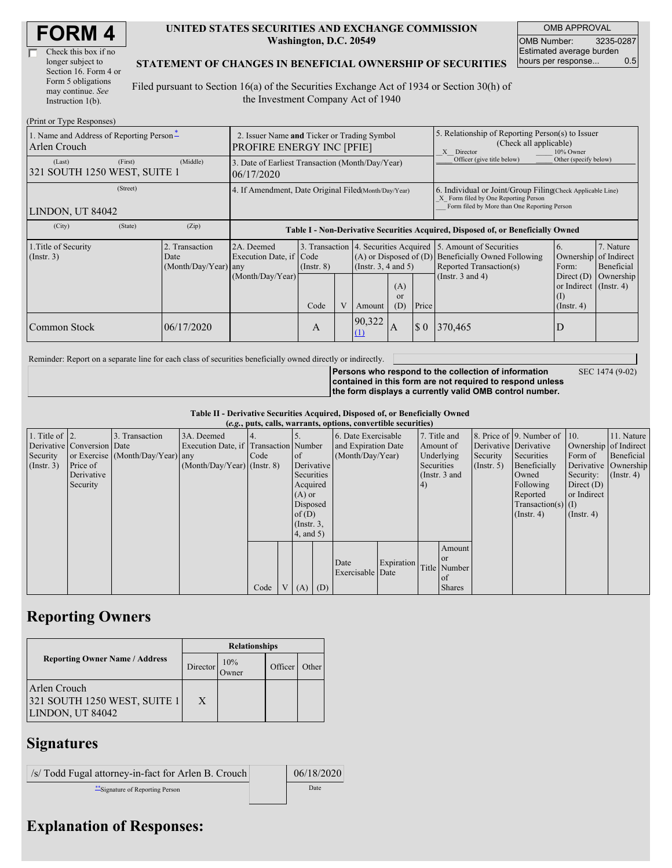| Check this box if no  |  |
|-----------------------|--|
| longer subject to     |  |
| Section 16. Form 4 or |  |
| Form 5 obligations    |  |
| may continue. See     |  |
| Instruction 1(b).     |  |

#### **UNITED STATES SECURITIES AND EXCHANGE COMMISSION Washington, D.C. 20549**

OMB APPROVAL OMB Number: 3235-0287 Estimated average burden hours per response... 0.5

#### **STATEMENT OF CHANGES IN BENEFICIAL OWNERSHIP OF SECURITIES**

Filed pursuant to Section 16(a) of the Securities Exchange Act of 1934 or Section 30(h) of the Investment Company Act of 1940

| (Print or Type Responses)                                |                                                                                 |                                                      |                                                                                  |                 |   |                                                                                             |                                                                                                       |                                                                                                                                                    |                                                                                                                    |                                                                   |                         |
|----------------------------------------------------------|---------------------------------------------------------------------------------|------------------------------------------------------|----------------------------------------------------------------------------------|-----------------|---|---------------------------------------------------------------------------------------------|-------------------------------------------------------------------------------------------------------|----------------------------------------------------------------------------------------------------------------------------------------------------|--------------------------------------------------------------------------------------------------------------------|-------------------------------------------------------------------|-------------------------|
| 1. Name and Address of Reporting Person*<br>Arlen Crouch | 2. Issuer Name and Ticker or Trading Symbol<br><b>PROFIRE ENERGY INC [PFIE]</b> |                                                      |                                                                                  |                 |   |                                                                                             | 5. Relationship of Reporting Person(s) to Issuer<br>(Check all applicable)<br>X Director<br>10% Owner |                                                                                                                                                    |                                                                                                                    |                                                                   |                         |
| (Last)<br>321 SOUTH 1250 WEST, SUITE 1                   | (First)                                                                         | (Middle)                                             | 3. Date of Earliest Transaction (Month/Day/Year)<br>06/17/2020                   |                 |   |                                                                                             |                                                                                                       |                                                                                                                                                    | Officer (give title below)                                                                                         | Other (specify below)                                             |                         |
| LINDON, UT 84042                                         |                                                                                 | 4. If Amendment, Date Original Filed Month/Day/Year) |                                                                                  |                 |   |                                                                                             |                                                                                                       | 6. Individual or Joint/Group Filing Check Applicable Line)<br>X Form filed by One Reporting Person<br>Form filed by More than One Reporting Person |                                                                                                                    |                                                                   |                         |
| (City)                                                   | (State)                                                                         | (Zip)                                                | Table I - Non-Derivative Securities Acquired, Disposed of, or Beneficially Owned |                 |   |                                                                                             |                                                                                                       |                                                                                                                                                    |                                                                                                                    |                                                                   |                         |
| 1. Title of Security<br>$($ Instr. 3 $)$                 |                                                                                 | 2. Transaction<br>Date<br>$(Month/Day/Year)$ any     | 2A. Deemed<br>Execution Date, if Code<br>(Month/Day/Year)                        | $($ Instr. $8)$ |   | 3. Transaction 4. Securities Acquired<br>$(A)$ or Disposed of $(D)$<br>(Insert. 3, 4 and 5) |                                                                                                       |                                                                                                                                                    | 5. Amount of Securities<br><b>Beneficially Owned Following</b><br>Reported Transaction(s)<br>(Instr. $3$ and $4$ ) | 7. Nature<br>6.<br>Ownership of Indirect<br>Form:<br>Direct $(D)$ | Beneficial<br>Ownership |
|                                                          |                                                                                 |                                                      |                                                                                  | Code            | V | Amount                                                                                      | (A)<br><sub>or</sub><br>(D)                                                                           | Price                                                                                                                                              |                                                                                                                    | or Indirect $($ Instr. 4 $)$<br>(I)<br>$($ Instr. 4 $)$           |                         |
| Common Stock                                             |                                                                                 | 06/17/2020                                           |                                                                                  | A               |   | 90,322<br>(1)                                                                               | A                                                                                                     | $\sqrt{3}0$                                                                                                                                        | 370,465                                                                                                            | D                                                                 |                         |

Reminder: Report on a separate line for each class of securities beneficially owned directly or indirectly.

SEC 1474 (9-02)

**Persons who respond to the collection of information contained in this form are not required to respond unless the form displays a currently valid OMB control number.**

**Table II - Derivative Securities Acquired, Disposed of, or Beneficially Owned**

| (e.g., puts, calls, warrants, options, convertible securities) |                            |                                  |                                       |      |                |                 |                     |                     |            |                 |                       |                      |                              |                  |              |                  |                      |         |            |
|----------------------------------------------------------------|----------------------------|----------------------------------|---------------------------------------|------|----------------|-----------------|---------------------|---------------------|------------|-----------------|-----------------------|----------------------|------------------------------|------------------|--------------|------------------|----------------------|---------|------------|
| 1. Title of $\vert$ 2.                                         |                            | 3. Transaction                   | 3A. Deemed                            |      |                |                 |                     | 6. Date Exercisable |            |                 | 7. Title and          |                      | 8. Price of 9. Number of 10. |                  | 11. Nature   |                  |                      |         |            |
|                                                                | Derivative Conversion Date |                                  | Execution Date, if Transaction Number |      |                |                 | and Expiration Date |                     | Amount of  |                 | Derivative Derivative |                      | Ownership of Indirect        |                  |              |                  |                      |         |            |
| Security                                                       |                            | or Exercise (Month/Day/Year) any |                                       | Code |                | $\circ$ f       |                     | (Month/Day/Year)    |            |                 |                       |                      |                              |                  | Underlying   | Security         | Securities           | Form of | Beneficial |
| $($ Instr. 3 $)$                                               | Price of                   |                                  | $(Month/Day/Year)$ (Instr. 8)         |      |                | Derivative      |                     |                     |            |                 |                       | Securities           |                              | (Insert. 5)      | Beneficially |                  | Derivative Ownership |         |            |
|                                                                | Derivative                 |                                  |                                       |      |                | Securities      |                     |                     |            | (Instr. $3$ and |                       |                      |                              | Owned            | Security:    | $($ Instr. 4 $)$ |                      |         |            |
|                                                                | Security                   |                                  |                                       |      |                | Acquired        |                     |                     |            | (4)             |                       |                      | Following                    | Direct $(D)$     |              |                  |                      |         |            |
|                                                                |                            |                                  |                                       |      |                | $(A)$ or        |                     |                     |            |                 |                       |                      | Reported                     | or Indirect      |              |                  |                      |         |            |
|                                                                |                            |                                  |                                       |      |                | Disposed        |                     |                     |            |                 |                       | $Transaction(s)$ (I) |                              |                  |              |                  |                      |         |            |
|                                                                |                            |                                  |                                       |      |                | of $(D)$        |                     |                     |            |                 |                       |                      | $($ Instr. 4 $)$             | $($ Instr. 4 $)$ |              |                  |                      |         |            |
|                                                                |                            |                                  |                                       |      |                | $($ Instr. $3,$ |                     |                     |            |                 |                       |                      |                              |                  |              |                  |                      |         |            |
|                                                                |                            |                                  |                                       |      |                | 4, and 5)       |                     |                     |            |                 |                       |                      |                              |                  |              |                  |                      |         |            |
|                                                                |                            |                                  |                                       |      |                |                 |                     |                     |            |                 | Amount                |                      |                              |                  |              |                  |                      |         |            |
|                                                                |                            |                                  |                                       |      |                |                 |                     | Date                | Expiration |                 | or or                 |                      |                              |                  |              |                  |                      |         |            |
|                                                                |                            |                                  |                                       |      |                |                 |                     | Exercisable Date    |            |                 | Title Number          |                      |                              |                  |              |                  |                      |         |            |
|                                                                |                            |                                  |                                       |      |                |                 |                     |                     |            |                 | <sub>of</sub>         |                      |                              |                  |              |                  |                      |         |            |
|                                                                |                            |                                  |                                       | Code | V <sub>1</sub> | $(A)$ $(D)$     |                     |                     |            |                 | <b>Shares</b>         |                      |                              |                  |              |                  |                      |         |            |

# **Reporting Owners**

|                                                                  | <b>Relationships</b> |                      |         |       |  |  |  |
|------------------------------------------------------------------|----------------------|----------------------|---------|-------|--|--|--|
| <b>Reporting Owner Name / Address</b>                            | Director             | 10%<br><b>J</b> wner | Officer | Other |  |  |  |
| Arlen Crouch<br>321 SOUTH 1250 WEST, SUITE 1<br>LINDON, UT 84042 | X                    |                      |         |       |  |  |  |

### **Signatures**

| /s/ Todd Fugal attorney-in-fact for Arlen B. Crouch | 06/18/2020 |
|-----------------------------------------------------|------------|
| Signature of Reporting Person                       | Date       |

# **Explanation of Responses:**